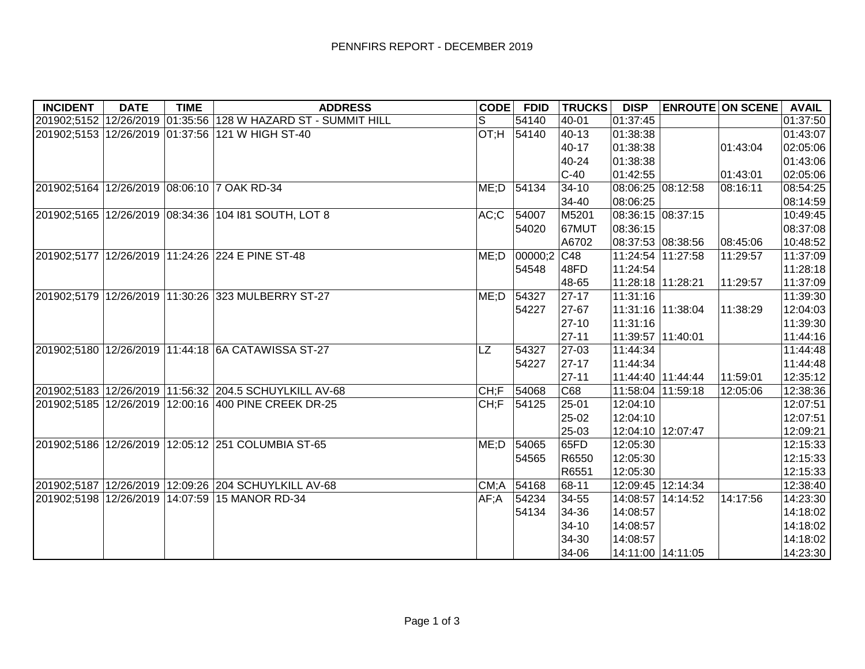| <b>INCIDENT</b> | <b>DATE</b> | <b>TIME</b> | <b>ADDRESS</b>                                                | <b>CODE</b> | <b>FDID</b> | <b>TRUCKS</b> | <b>DISP</b>       |                   | <b>ENROUTE ON SCENE</b> | <b>AVAIL</b> |
|-----------------|-------------|-------------|---------------------------------------------------------------|-------------|-------------|---------------|-------------------|-------------------|-------------------------|--------------|
|                 |             |             | 201902;5152 12/26/2019 01:35:56 128 W HAZARD ST - SUMMIT HILL | S           | 54140       | 40-01         | 01:37:45          |                   |                         | 01:37:50     |
|                 |             |             | 201902;5153 12/26/2019 01:37:56 121 W HIGH ST-40              |             | OT;H 54140  | 40-13         | 01:38:38          |                   |                         | 01:43:07     |
|                 |             |             |                                                               |             |             | 40-17         | 01:38:38          |                   | 01:43:04                | 02:05:06     |
|                 |             |             |                                                               |             |             | 40-24         | 01:38:38          |                   |                         | 01:43:06     |
|                 |             |             |                                                               |             |             | $ C-40 $      | 01:42:55          |                   | 01:43:01                | 02:05:06     |
|                 |             |             | 201902;5164 12/26/2019 08:06:10 7 OAK RD-34                   | ME;D        | 54134       | $34 - 10$     | 08:06:25 08:12:58 |                   | 08:16:11                | 08:54:25     |
|                 |             |             |                                                               |             |             | 34-40         | 08:06:25          |                   |                         | 08:14:59     |
|                 |             |             | 201902;5165 12/26/2019 08:34:36 104 181 SOUTH, LOT 8          | AC;C        | 54007       | M5201         | 08:36:15 08:37:15 |                   |                         | 10:49:45     |
|                 |             |             |                                                               |             | 54020       | 67MUT         | 08:36:15          |                   |                         | 08:37:08     |
|                 |             |             |                                                               |             |             | A6702         |                   | 08:37:53 08:38:56 | 08:45:06                | 10:48:52     |
|                 |             |             | 201902;5177 12/26/2019 11:24:26 224 E PINE ST-48              | ME; D       | 00000;2 C48 |               | 11:24:54 11:27:58 |                   | 11:29:57                | 11:37:09     |
|                 |             |             |                                                               |             | 54548       | 48FD          | 11:24:54          |                   |                         | 11:28:18     |
|                 |             |             |                                                               |             |             | 48-65         | 11:28:18 11:28:21 |                   | 11:29:57                | 11:37:09     |
|                 |             |             | 201902;5179 12/26/2019 11:30:26 323 MULBERRY ST-27            | $ME$ ;D     | 54327       | 27-17         | 11:31:16          |                   |                         | 11:39:30     |
|                 |             |             |                                                               |             | 54227       | 27-67         | 11:31:16 11:38:04 |                   | 11:38:29                | 12:04:03     |
|                 |             |             |                                                               |             |             | $ 27-10 $     | 11:31:16          |                   |                         | 11:39:30     |
|                 |             |             |                                                               |             |             | 27-11         | 11:39:57 11:40:01 |                   |                         | 11:44:16     |
|                 |             |             | 201902;5180 12/26/2019 11:44:18 6A CATAWISSA ST-27            | <b>LZ</b>   | 54327       | 27-03         | 11:44:34          |                   |                         | 11:44:48     |
|                 |             |             |                                                               |             | 54227       | $ 27-17 $     | 11:44:34          |                   |                         | 11:44:48     |
|                 |             |             |                                                               |             |             | 27-11         |                   | 11:44:40 11:44:44 | 11:59:01                | 12:35:12     |
|                 |             |             | 201902;5183 12/26/2019 11:56:32 204.5 SCHUYLKILL AV-68        | CH; F       | 54068       | C68           | 11:58:04 11:59:18 |                   | 12:05:06                | 12:38:36     |
|                 |             |             | 201902;5185 12/26/2019 12:00:16 400 PINE CREEK DR-25          | CH;F        | 54125       | 25-01         | 12:04:10          |                   |                         | 12:07:51     |
|                 |             |             |                                                               |             |             | 25-02         | 12:04:10          |                   |                         | 12:07:51     |
|                 |             |             |                                                               |             |             | 25-03         | 12:04:10 12:07:47 |                   |                         | 12:09:21     |
|                 |             |             | 201902;5186 12/26/2019 12:05:12 251 COLUMBIA ST-65            | ME; D       | 54065       | 65FD          | 12:05:30          |                   |                         | 12:15:33     |
|                 |             |             |                                                               |             | 54565       | R6550         | 12:05:30          |                   |                         | 12:15:33     |
|                 |             |             |                                                               |             |             | R6551         | 12:05:30          |                   |                         | 12:15:33     |
|                 |             |             | 201902;5187 12/26/2019 12:09:26 204 SCHUYLKILL AV-68          | CM;A 54168  |             | 68-11         | 12:09:45 12:14:34 |                   |                         | 12:38:40     |
|                 |             |             | 201902;5198 12/26/2019 14:07:59 15 MANOR RD-34                | AF;A        | 54234       | 34-55         | 14:08:57 14:14:52 |                   | 14:17:56                | 14:23:30     |
|                 |             |             |                                                               |             | 54134       | 34-36         | 14:08:57          |                   |                         | 14:18:02     |
|                 |             |             |                                                               |             |             | $ 34-10 $     | 14:08:57          |                   |                         | 14:18:02     |
|                 |             |             |                                                               |             |             | 34-30         | 14:08:57          |                   |                         | 14:18:02     |
|                 |             |             |                                                               |             |             | 34-06         | 14:11:00 14:11:05 |                   |                         | 14:23:30     |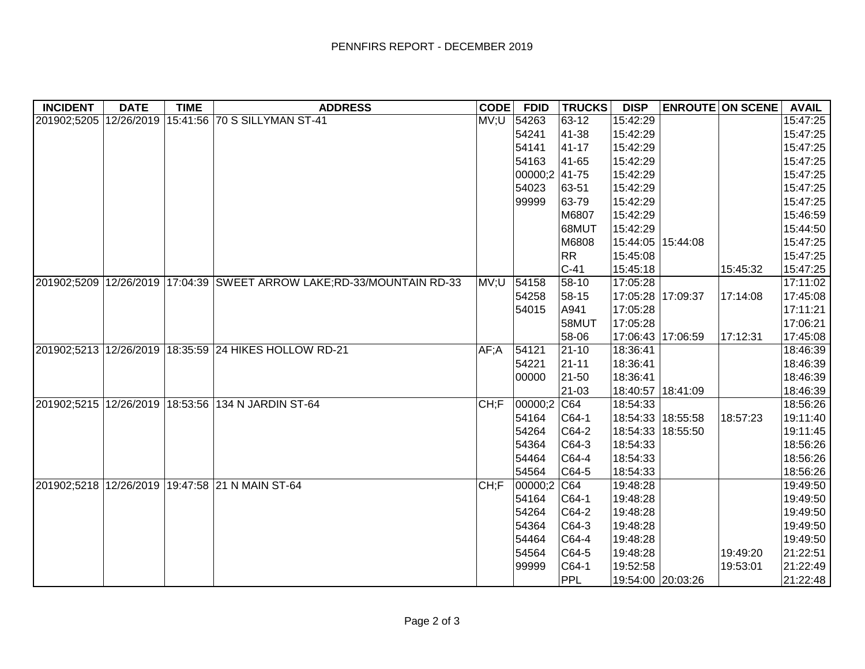| <b>INCIDENT</b> | <b>DATE</b> | <b>TIME</b> | <b>ADDRESS</b>                                                        | <b>CODE</b> | <b>FDID</b>   | <b>TRUCKS</b> | <b>DISP</b>       |                   | <b>ENROUTE ON SCENE</b> | <b>AVAIL</b> |
|-----------------|-------------|-------------|-----------------------------------------------------------------------|-------------|---------------|---------------|-------------------|-------------------|-------------------------|--------------|
|                 |             |             | 201902;5205 12/26/2019 15:41:56 70 S SILLYMAN ST-41                   | MV;U 54263  |               | 63-12         | 15:42:29          |                   |                         | 15:47:25     |
|                 |             |             |                                                                       |             | 54241         | 41-38         | 15:42:29          |                   |                         | 15:47:25     |
|                 |             |             |                                                                       |             | 54141         | 41-17         | 15:42:29          |                   |                         | 15:47:25     |
|                 |             |             |                                                                       |             | 54163         | 41-65         | 15:42:29          |                   |                         | 15:47:25     |
|                 |             |             |                                                                       |             | 00000;2 41-75 |               | 15:42:29          |                   |                         | 15:47:25     |
|                 |             |             |                                                                       |             | 54023         | 63-51         | 15:42:29          |                   |                         | 15:47:25     |
|                 |             |             |                                                                       |             | 99999         | 63-79         | 15:42:29          |                   |                         | 15:47:25     |
|                 |             |             |                                                                       |             |               | M6807         | 15:42:29          |                   |                         | 15:46:59     |
|                 |             |             |                                                                       |             |               | 68MUT         | 15:42:29          |                   |                         | 15:44:50     |
|                 |             |             |                                                                       |             |               | M6808         | 15:44:05 15:44:08 |                   |                         | 15:47:25     |
|                 |             |             |                                                                       |             |               | RR            | 15:45:08          |                   |                         | 15:47:25     |
|                 |             |             |                                                                       |             |               | $C-41$        | 15:45:18          |                   | 15:45:32                | 15:47:25     |
|                 |             |             | 201902;5209 12/26/2019 17:04:39 SWEET ARROW LAKE;RD-33/MOUNTAIN RD-33 | MV;U 54158  |               | 58-10         | 17:05:28          |                   |                         | 17:11:02     |
|                 |             |             |                                                                       |             | 54258         | 58-15         | 17:05:28 17:09:37 |                   | 17:14:08                | 17:45:08     |
|                 |             |             |                                                                       |             | 54015         | A941          | 17:05:28          |                   |                         | 17:11:21     |
|                 |             |             |                                                                       |             |               | 58MUT         | 17:05:28          |                   |                         | 17:06:21     |
|                 |             |             |                                                                       |             |               | 58-06         |                   | 17:06:43 17:06:59 | 17:12:31                | 17:45:08     |
|                 |             |             | 201902;5213 12/26/2019 18:35:59 24 HIKES HOLLOW RD-21                 | AF;A        | 54121         | $ 21 - 10 $   | 18:36:41          |                   |                         | 18:46:39     |
|                 |             |             |                                                                       |             | 54221         | $21 - 11$     | 18:36:41          |                   |                         | 18:46:39     |
|                 |             |             |                                                                       |             | 00000         | 21-50         | 18:36:41          |                   |                         | 18:46:39     |
|                 |             |             |                                                                       |             |               | 21-03         | 18:40:57 18:41:09 |                   |                         | 18:46:39     |
|                 |             |             | 201902;5215 12/26/2019 18:53:56 134 N JARDIN ST-64                    | CH;F        | $00000;2$ C64 |               | 18:54:33          |                   |                         | 18:56:26     |
|                 |             |             |                                                                       |             | 54164         | $CG4-1$       | 18:54:33 18:55:58 |                   | 18:57:23                | 19:11:40     |
|                 |             |             |                                                                       |             | 54264         | $ C64-2$      |                   | 18:54:33 18:55:50 |                         | 19:11:45     |
|                 |             |             |                                                                       |             | 54364         | $ C64-3 $     | 18:54:33          |                   |                         | 18:56:26     |
|                 |             |             |                                                                       |             | 54464         | $ C64-4$      | 18:54:33          |                   |                         | 18:56:26     |
|                 |             |             |                                                                       |             | 54564         | $ C64-5$      | 18:54:33          |                   |                         | 18:56:26     |
|                 |             |             | 201902;5218 12/26/2019 19:47:58 21 N MAIN ST-64                       | CH; F       | 00000;2       | C64           | 19:48:28          |                   |                         | 19:49:50     |
|                 |             |             |                                                                       |             | 54164         | $ C64-1 $     | 19:48:28          |                   |                         | 19:49:50     |
|                 |             |             |                                                                       |             | 54264         | $ C64-2$      | 19:48:28          |                   |                         | 19:49:50     |
|                 |             |             |                                                                       |             | 54364         | $ C64-3$      | 19:48:28          |                   |                         | 19:49:50     |
|                 |             |             |                                                                       |             | 54464         | $ C64-4$      | 19:48:28          |                   |                         | 19:49:50     |
|                 |             |             |                                                                       |             | 54564         | $ C64-5$      | 19:48:28          |                   | 19:49:20                | 21:22:51     |
|                 |             |             |                                                                       |             | 99999         | $ C64-1 $     | 19:52:58          |                   | 19:53:01                | 21:22:49     |
|                 |             |             |                                                                       |             |               | PPL           |                   | 19:54:00 20:03:26 |                         | 21:22:48     |